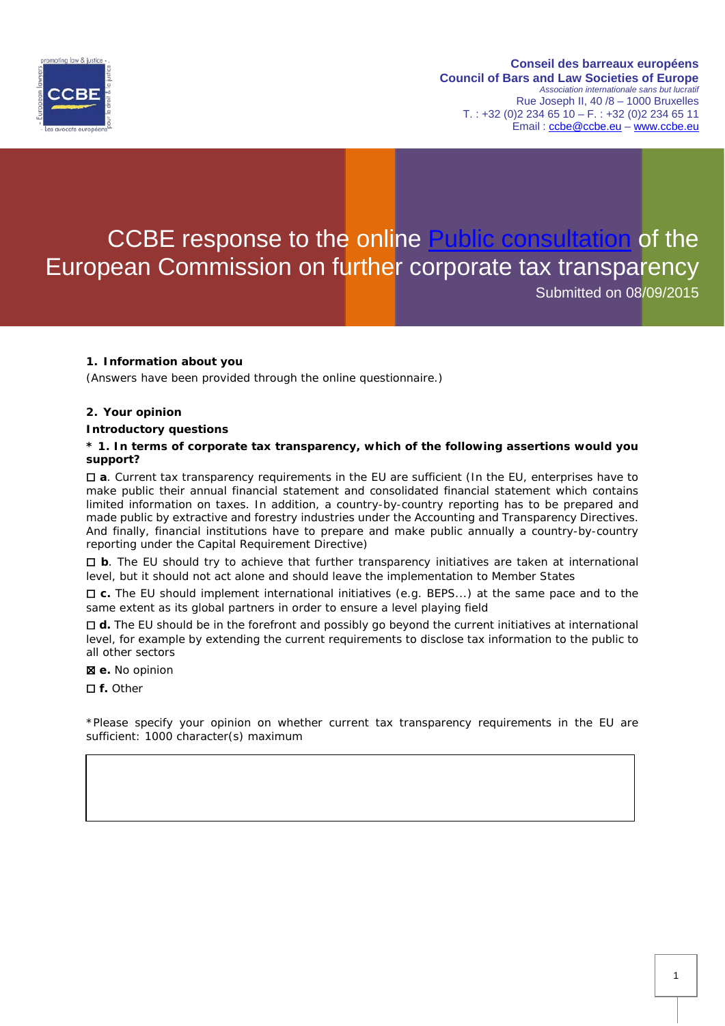

# CCBE response to the online [Public consultation](http://ec.europa.eu/finance/consultations/2015/further-corporate-tax-transparency/docs/consultation-document_en.pdf) of the European Commission on further corporate tax transparency Submitted on 08/09/2015

## **1. Information about you**

(Answers have been provided through the online questionnaire.)

#### **2. Your opinion**

#### **Introductory questions**

### **\* 1. In terms of corporate tax transparency, which of the following assertions would you support?**

☐ **a**. Current tax transparency requirements in the EU are sufficient (In the EU, enterprises have to make public their annual financial statement and consolidated financial statement which contains limited information on taxes. In addition, a country-by-country reporting has to be prepared and made public by extractive and forestry industries under the Accounting and Transparency Directives. And finally, financial institutions have to prepare and make public annually a country-by-country reporting under the Capital Requirement Directive)

☐ **b**. The EU should try to achieve that further transparency initiatives are taken at international level, but it should not act alone and should leave the implementation to Member States

☐ **c.** The EU should implement international initiatives (e.g. BEPS...) at the same pace and to the same extent as its global partners in order to ensure a level playing field

☐ **d.** The EU should be in the forefront and possibly go beyond the current initiatives at international level, for example by extending the current requirements to disclose tax information to the public to all other sectors

☒ **e.** No opinion

☐ **f.** Other

\*Please specify your opinion on whether current tax transparency requirements in the EU are sufficient: 1000 character(s) maximum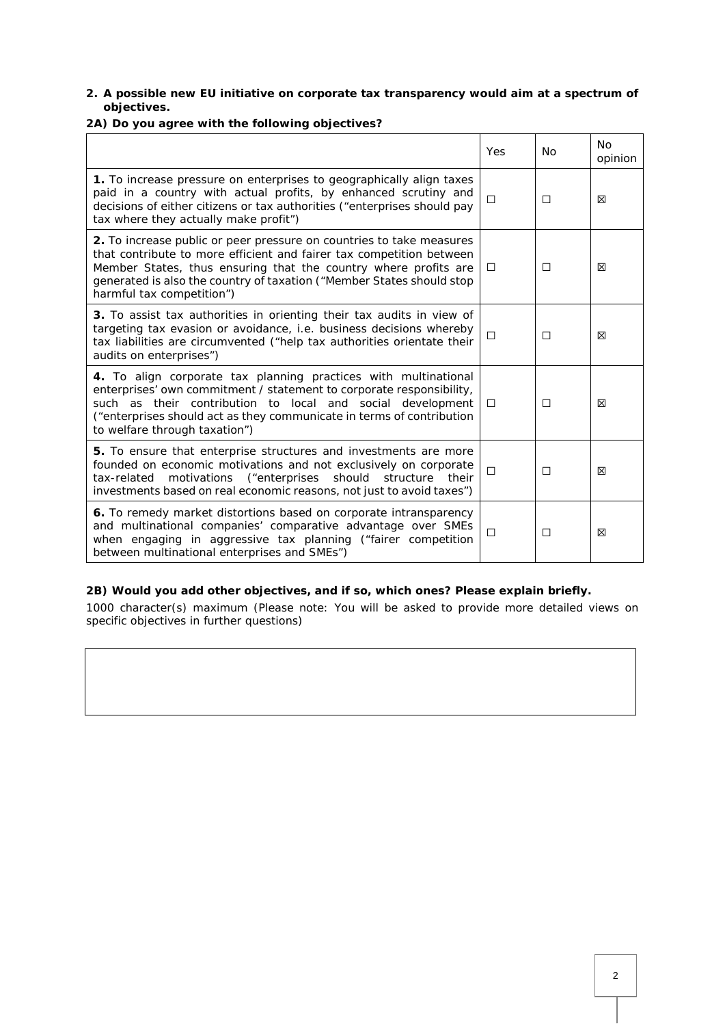## **2. A possible new EU initiative on corporate tax transparency would aim at a spectrum of objectives.**

## **2A) Do you agree with the following objectives?**

|                                                                                                                                                                                                                                                                                                                       | Yes    | <b>No</b> | <b>No</b><br>opinion |
|-----------------------------------------------------------------------------------------------------------------------------------------------------------------------------------------------------------------------------------------------------------------------------------------------------------------------|--------|-----------|----------------------|
| 1. To increase pressure on enterprises to geographically align taxes<br>paid in a country with actual profits, by enhanced scrutiny and<br>decisions of either citizens or tax authorities ("enterprises should pay<br>tax where they actually make profit")                                                          | □      | □         | ⊠                    |
| 2. To increase public or peer pressure on countries to take measures<br>that contribute to more efficient and fairer tax competition between<br>Member States, thus ensuring that the country where profits are<br>generated is also the country of taxation ("Member States should stop<br>harmful tax competition") | $\Box$ | □         | 区                    |
| 3. To assist tax authorities in orienting their tax audits in view of<br>targeting tax evasion or avoidance, i.e. business decisions whereby<br>tax liabilities are circumvented ("help tax authorities orientate their<br>audits on enterprises")                                                                    | П      | П         | 冈                    |
| 4. To align corporate tax planning practices with multinational<br>enterprises' own commitment / statement to corporate responsibility,<br>such as their contribution to local and social development<br>("enterprises should act as they communicate in terms of contribution<br>to welfare through taxation")       | □      | П         | ⊠                    |
| 5. To ensure that enterprise structures and investments are more<br>founded on economic motivations and not exclusively on corporate<br>should<br>motivations<br>("enterprises<br>structure<br>tax-related<br>their<br>investments based on real economic reasons, not just to avoid taxes")                          | П      | П         | ×                    |
| 6. To remedy market distortions based on corporate intransparency<br>and multinational companies' comparative advantage over SMEs<br>when engaging in aggressive tax planning ("fairer competition<br>between multinational enterprises and SMEs")                                                                    | □      | □         | ×                    |

## **2B) Would you add other objectives, and if so, which ones? Please explain briefly.**

1000 character(s) maximum (Please note: You will be asked to provide more detailed views on specific objectives in further questions)